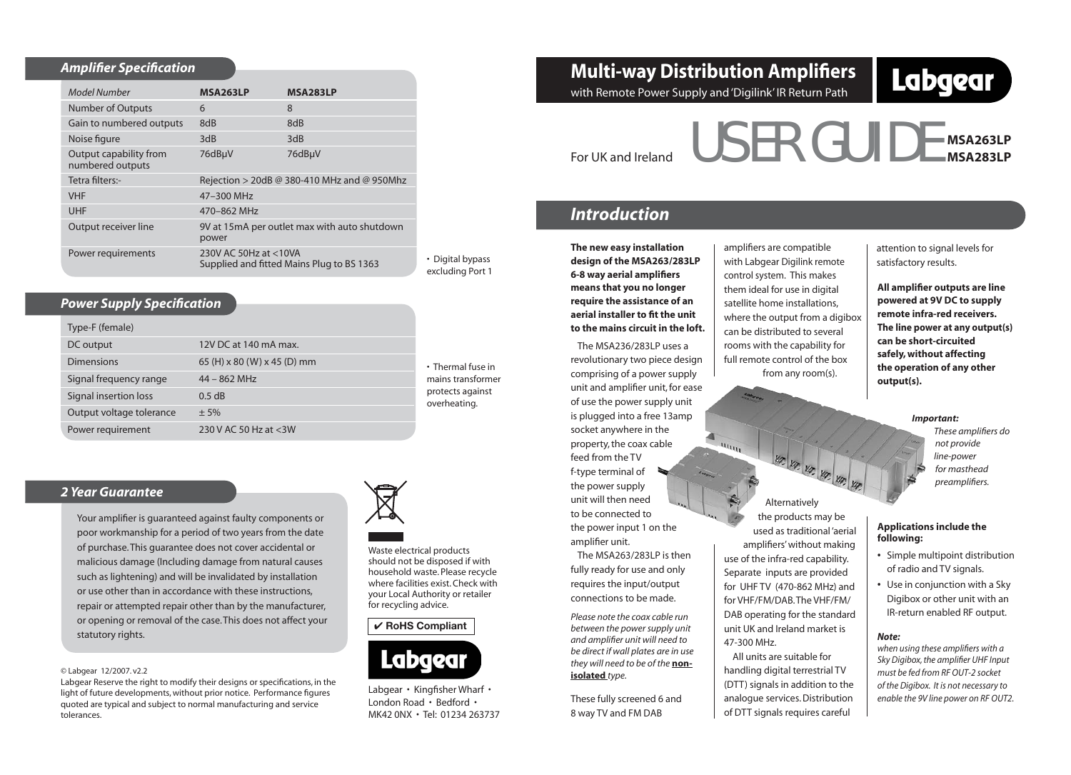# *Amplifier Specification*

| Model Number                               | <b>MSA263LP</b>                                                    | <b>MSA283LP</b> |
|--------------------------------------------|--------------------------------------------------------------------|-----------------|
| <b>Number of Outputs</b>                   | 6                                                                  | 8               |
| Gain to numbered outputs                   | 8dB                                                                | 8dB             |
| Noise figure                               | 3dB                                                                | 3dB             |
| Output capability from<br>numbered outputs | 76dBµV                                                             | 76dBµV          |
| Tetra filters:-                            | Rejection > 20dB @ 380-410 MHz and @ 950Mhz                        |                 |
| <b>VHF</b>                                 | 47-300 MHz                                                         |                 |
| <b>UHF</b>                                 | 470-862 MHz                                                        |                 |
| Output receiver line                       | 9V at 15mA per outlet max with auto shutdown<br>power              |                 |
| Power requirements                         | 230V AC 50Hz at <10VA<br>Supplied and fitted Mains Plug to BS 1363 |                 |

# *Power Supply Specification*

| Type-F (female)          |                             |                                  |
|--------------------------|-----------------------------|----------------------------------|
| DC output                | 12V DC at 140 mA max.       |                                  |
| <b>Dimensions</b>        | 65 (H) x 80 (W) x 45 (D) mm | • Thermal fuse in                |
| Signal frequency range   | $44 - 862$ MHz              | mains transformer                |
| Signal insertion loss    | 0.5 dB                      | protects against<br>overheating. |
| Output voltage tolerance | ± 5%                        |                                  |
| Power requirement        | 230 V AC 50 Hz at <3W       |                                  |

## *2 Year Guarantee*

Your amplifier is guaranteed against faulty components or poor workmanship for a period of two years from the date of purchase. This guarantee does not cover accidental or malicious damage (Including damage from natural causes such as lightening) and will be invalidated by installation or use other than in accordance with these instructions, repair or attempted repair other than by the manufacturer, or opening or removal of the case. This does not affect your statutory rights.

#### © Labgear 12/2007. v2.2

Labgear Reserve the right to modify their designs or specifications, in the light of future developments, without prior notice. Performance figures quoted are typical and subject to normal manufacturing and service tolerances.



Waste electrical products should not be disposed if with household waste. Please recycle where facilities exist. Check with your Local Authority or retailer for recycling advice.

• Digital bypass excluding Port 1

## **RoHS Compliant**



Labgear • Kingfisher Wharf • London Road • Bedford • MK42 0NX • Tel: 01234 263737

**Multi-way Distribution Amplifiers** with Remote Power Supply and 'Digilink' IR Return Path

> ◢  $\overline{u_{00}}$

Labgear

For UK and Ireland

# USER GUIDE **MSA263LP MSA283LP**

# *Introduction*

**The new easy installation design of the MSA263/283LP 6-8 way aerial amplifiers means that you no longer require the assistance of an aerial installer to fit the unit to the mains circuit in the loft.**

The MSA236/283LP uses a revolutionary two piece design comprising of a power supply unit and amplifier unit, for ease of use the power supply unit is plugged into a free 13amp socket anywhere in the property, the coax cable feed from the TV f-type terminal of the power supply unit will then need to be connected to the power input 1 on the amplifier unit.

The MSA263/283LP is then fully ready for use and only requires the input/output connections to be made.

*Please note the coax cable run between the power supply unit and amplifier unit will need to be direct if wall plates are in use they will need to be of the* **nonisolated** *type.*

These fully screened 6 and 8 way TV and FM DAB

amplifiers are compatible with Labgear Digilink remote control system. This makes them ideal for use in digital satellite home installations, where the output from a digibox can be distributed to several rooms with the capability for full remote control of the box from any room(s).

Alternatively the products may be used as traditional 'aerial amplifiers' without making use of the infra-red capability. Separate inputs are provided for UHF TV (470-862 MHz) and for VHF/FM/DAB. The VHF/FM/ DAB operating for the standard unit UK and Ireland market is

197 197 197 197

47-300 MHz.

 All units are suitable for handling digital terrestrial TV (DTT) signals in addition to the analogue services. Distribution of DTT signals requires careful

attention to signal levels for satisfactory results.

**All amplifier outputs are line powered at 9V DC to supply remote infra-red receivers. The line power at any output(s) can be short-circuited safely, without affecting the operation of any other output(s).**



*These amplifiers do not provide line-power for masthead preamplifiers.*

### **Applications include the following:**

- **•** Simple multipoint distribution of radio and TV signals.
- **•** Use in conjunction with a Sky Digibox or other unit with an IR-return enabled RF output.

#### *Note:*

*when using these amplifiers with a Sky Digibox, the amplifier UHF Input must be fed from RF OUT-2 socket of the Digibox. It is not necessary to enable the 9V line power on RF OUT2.*